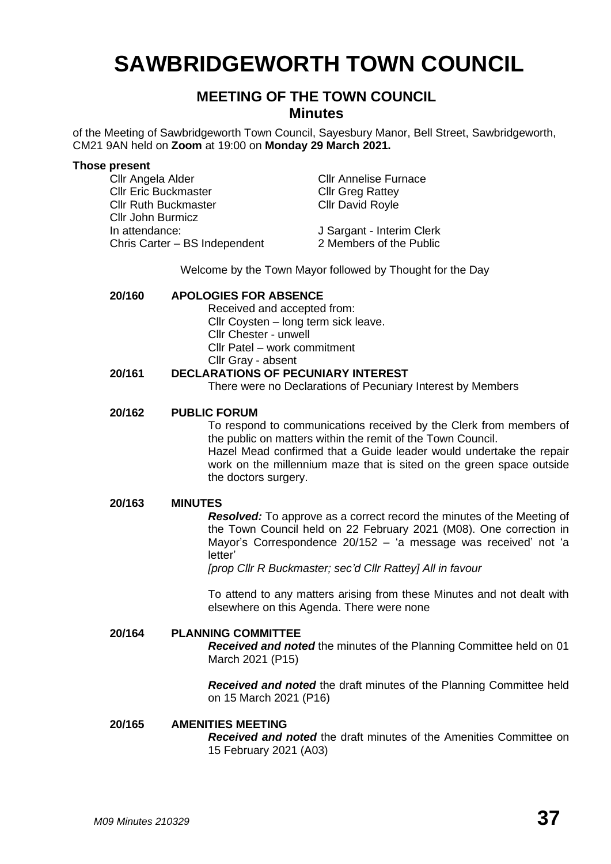# **SAWBRIDGEWORTH TOWN COUNCIL**

## **MEETING OF THE TOWN COUNCIL Minutes**

of the Meeting of Sawbridgeworth Town Council, Sayesbury Manor, Bell Street, Sawbridgeworth, CM21 9AN held on **Zoom** at 19:00 on **Monday 29 March 2021.**

#### **Those present**

Cllr Angela Alder Cllr Annelise Furnace Cllr Eric Buckmaster Cllr Greg Rattey Cllr Ruth Buckmaster Cllr David Royle Cllr John Burmicz In attendance: J Sargant - Interim Clerk Chris Carter – BS Independent 2 Members of the Public

Welcome by the Town Mayor followed by Thought for the Day

## **20/160 APOLOGIES FOR ABSENCE**

Received and accepted from: Cllr Coysten – long term sick leave.

Cllr Chester - unwell

Cllr Patel – work commitment

Cllr Gray - absent

## **20/161 DECLARATIONS OF PECUNIARY INTEREST**

There were no Declarations of Pecuniary Interest by Members

## **20/162 PUBLIC FORUM**

To respond to communications received by the Clerk from members of the public on matters within the remit of the Town Council. Hazel Mead confirmed that a Guide leader would undertake the repair work on the millennium maze that is sited on the green space outside the doctors surgery.

#### **20/163 MINUTES**

*Resolved:* To approve as a correct record the minutes of the Meeting of the Town Council held on 22 February 2021 (M08). One correction in Mayor's Correspondence 20/152 – 'a message was received' not 'a letter'

*[prop Cllr R Buckmaster; sec'd Cllr Rattey] All in favour*

To attend to any matters arising from these Minutes and not dealt with elsewhere on this Agenda. There were none

## **20/164 PLANNING COMMITTEE**

*Received and noted* the minutes of the Planning Committee held on 01 March 2021 (P15)

*Received and noted* the draft minutes of the Planning Committee held on 15 March 2021 (P16)

## **20/165 AMENITIES MEETING**

*Received and noted* the draft minutes of the Amenities Committee on 15 February 2021 (A03)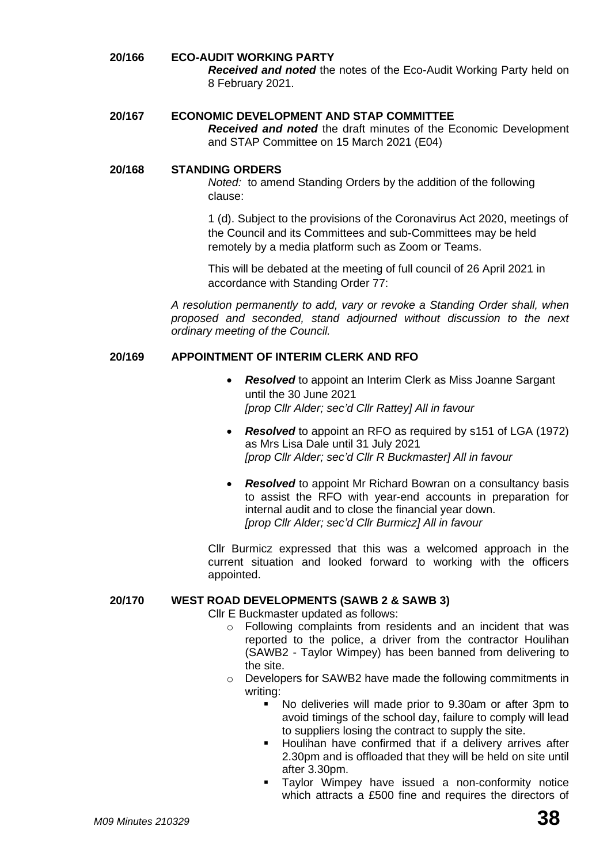## **20/166 ECO-AUDIT WORKING PARTY**

*Received and noted* the notes of the Eco-Audit Working Party held on 8 February 2021.

#### **20/167 ECONOMIC DEVELOPMENT AND STAP COMMITTEE**

*Received and noted* the draft minutes of the Economic Development and STAP Committee on 15 March 2021 (E04)

#### **20/168 STANDING ORDERS**

*Noted:* to amend Standing Orders by the addition of the following clause:

1 (d). Subject to the provisions of the Coronavirus Act 2020, meetings of the Council and its Committees and sub-Committees may be held remotely by a media platform such as Zoom or Teams.

This will be debated at the meeting of full council of 26 April 2021 in accordance with Standing Order 77:

*A resolution permanently to add, vary or revoke a Standing Order shall, when proposed and seconded, stand adjourned without discussion to the next ordinary meeting of the Council.*

## **20/169 APPOINTMENT OF INTERIM CLERK AND RFO**

- *Resolved* to appoint an Interim Clerk as Miss Joanne Sargant until the 30 June 2021 *[prop Cllr Alder; sec'd Cllr Rattey] All in favour*
- *Resolved* to appoint an RFO as required by s151 of LGA (1972) as Mrs Lisa Dale until 31 July 2021 *[prop Cllr Alder; sec'd Cllr R Buckmaster] All in favour*
- *Resolved* to appoint Mr Richard Bowran on a consultancy basis to assist the RFO with year-end accounts in preparation for internal audit and to close the financial year down. *[prop Cllr Alder; sec'd Cllr Burmicz] All in favour*

Cllr Burmicz expressed that this was a welcomed approach in the current situation and looked forward to working with the officers appointed.

#### **20/170 WEST ROAD DEVELOPMENTS (SAWB 2 & SAWB 3)**

Cllr E Buckmaster updated as follows:

- o Following complaints from residents and an incident that was reported to the police, a driver from the contractor Houlihan (SAWB2 - Taylor Wimpey) has been banned from delivering to the site.
- o Developers for SAWB2 have made the following commitments in writing:
	- No deliveries will made prior to 9.30am or after 3pm to avoid timings of the school day, failure to comply will lead to suppliers losing the contract to supply the site.
	- Houlihan have confirmed that if a delivery arrives after 2.30pm and is offloaded that they will be held on site until after 3.30pm.
	- Taylor Wimpey have issued a non-conformity notice which attracts a £500 fine and requires the directors of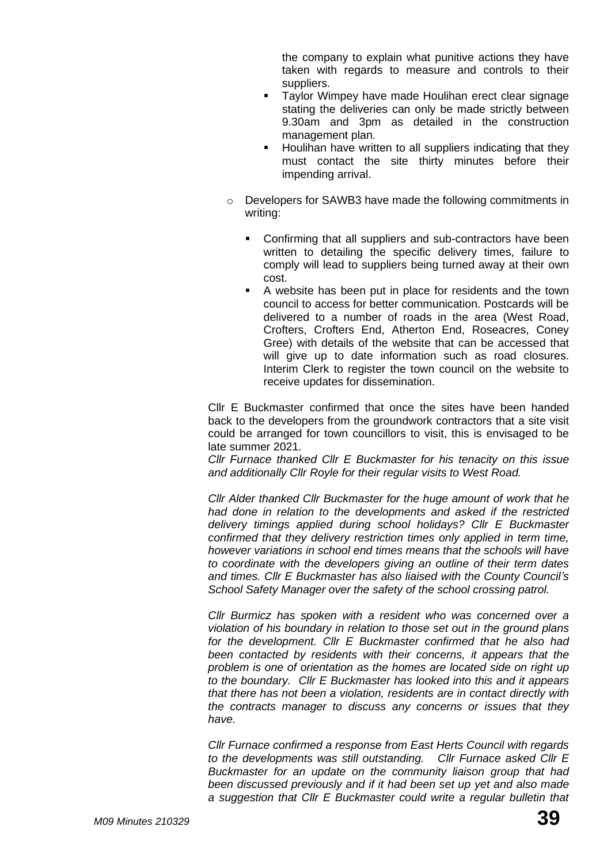the company to explain what punitive actions they have taken with regards to measure and controls to their suppliers.

- Taylor Wimpey have made Houlihan erect clear signage stating the deliveries can only be made strictly between 9.30am and 3pm as detailed in the construction management plan.
- Houlihan have written to all suppliers indicating that they must contact the site thirty minutes before their impending arrival.
- o Developers for SAWB3 have made the following commitments in writing:
	- Confirming that all suppliers and sub-contractors have been written to detailing the specific delivery times, failure to comply will lead to suppliers being turned away at their own cost.
	- A website has been put in place for residents and the town council to access for better communication. Postcards will be delivered to a number of roads in the area (West Road, Crofters, Crofters End, Atherton End, Roseacres, Coney Gree) with details of the website that can be accessed that will give up to date information such as road closures. Interim Clerk to register the town council on the website to receive updates for dissemination.

Cllr E Buckmaster confirmed that once the sites have been handed back to the developers from the groundwork contractors that a site visit could be arranged for town councillors to visit, this is envisaged to be late summer 2021.

*Cllr Furnace thanked Cllr E Buckmaster for his tenacity on this issue and additionally Cllr Royle for their regular visits to West Road.*

*Cllr Alder thanked Cllr Buckmaster for the huge amount of work that he had done in relation to the developments and asked if the restricted delivery timings applied during school holidays? Cllr E Buckmaster confirmed that they delivery restriction times only applied in term time, however variations in school end times means that the schools will have to coordinate with the developers giving an outline of their term dates and times. Cllr E Buckmaster has also liaised with the County Council's School Safety Manager over the safety of the school crossing patrol.*

*Cllr Burmicz has spoken with a resident who was concerned over a violation of his boundary in relation to those set out in the ground plans for the development. Cllr E Buckmaster confirmed that he also had been contacted by residents with their concerns, it appears that the problem is one of orientation as the homes are located side on right up to the boundary. Cllr E Buckmaster has looked into this and it appears that there has not been a violation, residents are in contact directly with the contracts manager to discuss any concerns or issues that they have.* 

*Cllr Furnace confirmed a response from East Herts Council with regards to the developments was still outstanding. Cllr Furnace asked Cllr E Buckmaster for an update on the community liaison group that had been discussed previously and if it had been set up yet and also made a suggestion that Cllr E Buckmaster could write a regular bulletin that*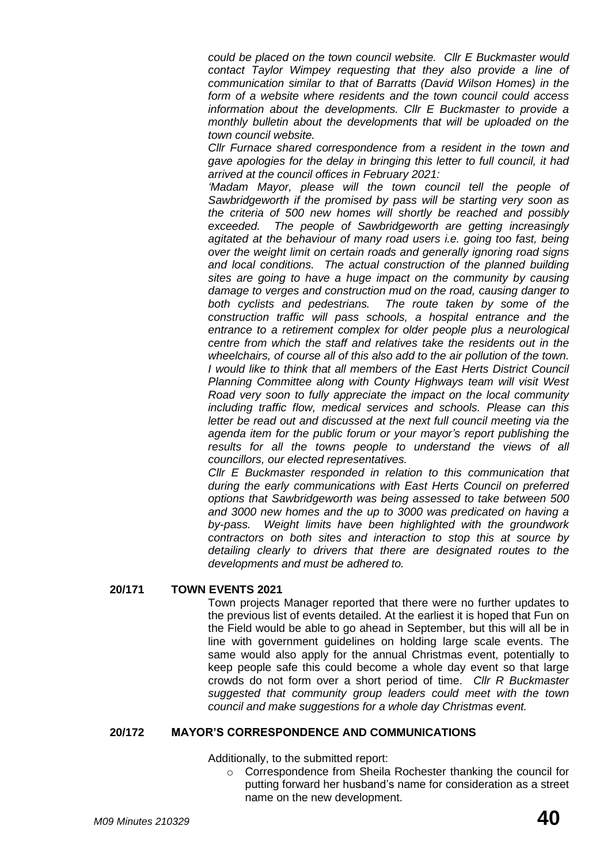*could be placed on the town council website. Cllr E Buckmaster would contact Taylor Wimpey requesting that they also provide a line of communication similar to that of Barratts (David Wilson Homes) in the form of a website where residents and the town council could access information about the developments. Cllr E Buckmaster to provide a monthly bulletin about the developments that will be uploaded on the town council website.* 

*Cllr Furnace shared correspondence from a resident in the town and gave apologies for the delay in bringing this letter to full council, it had arrived at the council offices in February 2021:*

*'Madam Mayor, please will the town council tell the people of Sawbridgeworth if the promised by pass will be starting very soon as the criteria of 500 new homes will shortly be reached and possibly exceeded. The people of Sawbridgeworth are getting increasingly agitated at the behaviour of many road users i.e. going too fast, being over the weight limit on certain roads and generally ignoring road signs and local conditions. The actual construction of the planned building sites are going to have a huge impact on the community by causing damage to verges and construction mud on the road, causing danger to both cyclists and pedestrians. The route taken by some of the construction traffic will pass schools, a hospital entrance and the entrance to a retirement complex for older people plus a neurological centre from which the staff and relatives take the residents out in the wheelchairs, of course all of this also add to the air pollution of the town. I would like to think that all members of the East Herts District Council Planning Committee along with County Highways team will visit West Road very soon to fully appreciate the impact on the local community including traffic flow, medical services and schools. Please can this letter be read out and discussed at the next full council meeting via the agenda item for the public forum or your mayor's report publishing the*  results for all the towns people to understand the views of all *councillors, our elected representatives.* 

*Cllr E Buckmaster responded in relation to this communication that during the early communications with East Herts Council on preferred options that Sawbridgeworth was being assessed to take between 500 and 3000 new homes and the up to 3000 was predicated on having a by-pass. Weight limits have been highlighted with the groundwork contractors on both sites and interaction to stop this at source by detailing clearly to drivers that there are designated routes to the developments and must be adhered to.* 

#### **20/171 TOWN EVENTS 2021**

Town projects Manager reported that there were no further updates to the previous list of events detailed. At the earliest it is hoped that Fun on the Field would be able to go ahead in September, but this will all be in line with government guidelines on holding large scale events. The same would also apply for the annual Christmas event, potentially to keep people safe this could become a whole day event so that large crowds do not form over a short period of time. *Cllr R Buckmaster suggested that community group leaders could meet with the town council and make suggestions for a whole day Christmas event.* 

#### **20/172 MAYOR'S CORRESPONDENCE AND COMMUNICATIONS**

Additionally, to the submitted report:

o Correspondence from Sheila Rochester thanking the council for putting forward her husband's name for consideration as a street name on the new development.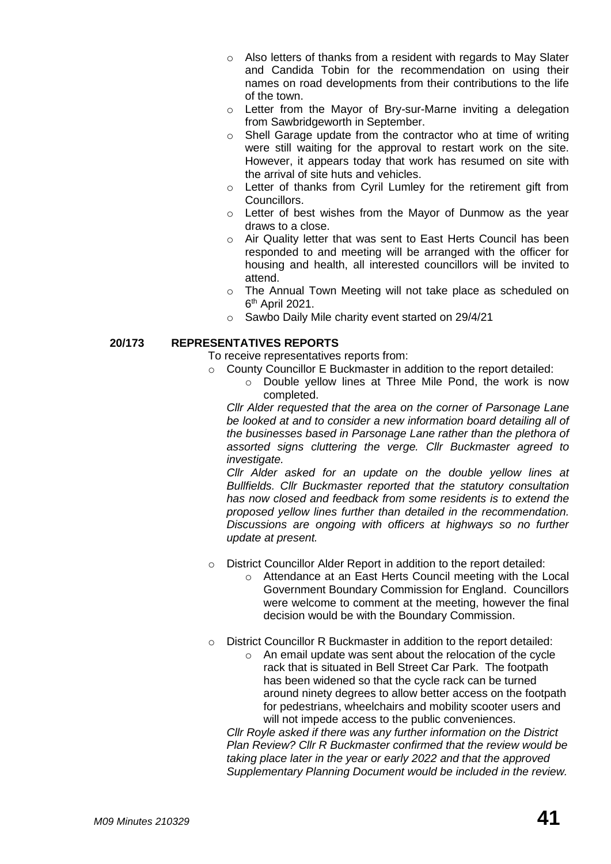- o Also letters of thanks from a resident with regards to May Slater and Candida Tobin for the recommendation on using their names on road developments from their contributions to the life of the town.
- o Letter from the Mayor of Bry-sur-Marne inviting a delegation from Sawbridgeworth in September.
- o Shell Garage update from the contractor who at time of writing were still waiting for the approval to restart work on the site. However, it appears today that work has resumed on site with the arrival of site huts and vehicles.
- o Letter of thanks from Cyril Lumley for the retirement gift from Councillors.
- o Letter of best wishes from the Mayor of Dunmow as the year draws to a close.
- o Air Quality letter that was sent to East Herts Council has been responded to and meeting will be arranged with the officer for housing and health, all interested councillors will be invited to attend.
- o The Annual Town Meeting will not take place as scheduled on 6<sup>th</sup> April 2021.
- o Sawbo Daily Mile charity event started on 29/4/21

## **20/173 REPRESENTATIVES REPORTS**

- To receive representatives reports from:
- o County Councillor E Buckmaster in addition to the report detailed:
	- o Double yellow lines at Three Mile Pond, the work is now completed.

*Cllr Alder requested that the area on the corner of Parsonage Lane be looked at and to consider a new information board detailing all of the businesses based in Parsonage Lane rather than the plethora of assorted signs cluttering the verge. Cllr Buckmaster agreed to investigate.* 

*Cllr Alder asked for an update on the double yellow lines at Bullfields. Cllr Buckmaster reported that the statutory consultation has now closed and feedback from some residents is to extend the proposed yellow lines further than detailed in the recommendation. Discussions are ongoing with officers at highways so no further update at present.* 

- o District Councillor Alder Report in addition to the report detailed:
	- o Attendance at an East Herts Council meeting with the Local Government Boundary Commission for England. Councillors were welcome to comment at the meeting, however the final decision would be with the Boundary Commission.
- o District Councillor R Buckmaster in addition to the report detailed:
	- o An email update was sent about the relocation of the cycle rack that is situated in Bell Street Car Park. The footpath has been widened so that the cycle rack can be turned around ninety degrees to allow better access on the footpath for pedestrians, wheelchairs and mobility scooter users and will not impede access to the public conveniences.

*Cllr Royle asked if there was any further information on the District Plan Review? Cllr R Buckmaster confirmed that the review would be taking place later in the year or early 2022 and that the approved Supplementary Planning Document would be included in the review.*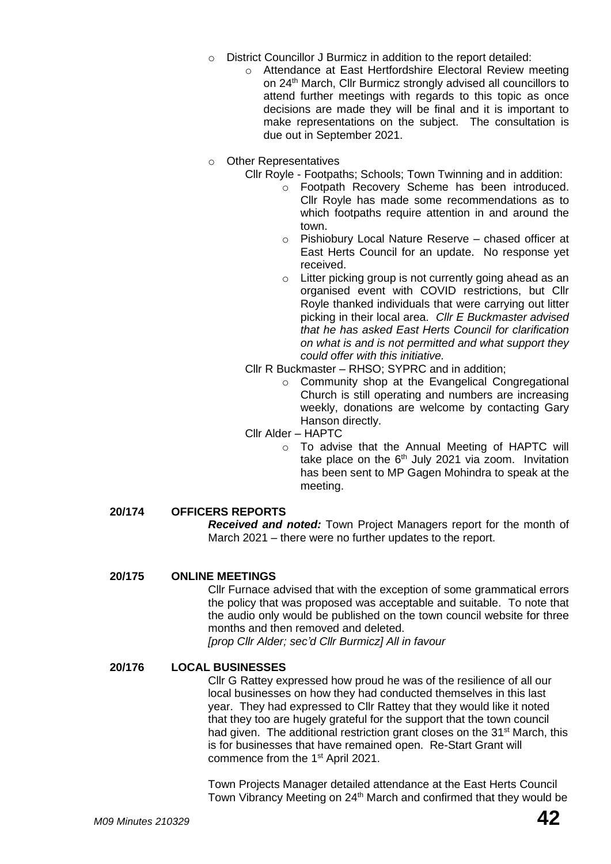- o District Councillor J Burmicz in addition to the report detailed:
	- o Attendance at East Hertfordshire Electoral Review meeting on 24th March, Cllr Burmicz strongly advised all councillors to attend further meetings with regards to this topic as once decisions are made they will be final and it is important to make representations on the subject. The consultation is due out in September 2021.
- o Other Representatives
	- Cllr Royle Footpaths; Schools; Town Twinning and in addition:
		- o Footpath Recovery Scheme has been introduced. Cllr Royle has made some recommendations as to which footpaths require attention in and around the town.
		- o Pishiobury Local Nature Reserve chased officer at East Herts Council for an update. No response yet received.
		- o Litter picking group is not currently going ahead as an organised event with COVID restrictions, but Cllr Royle thanked individuals that were carrying out litter picking in their local area. *Cllr E Buckmaster advised that he has asked East Herts Council for clarification on what is and is not permitted and what support they could offer with this initiative.*
	- Cllr R Buckmaster *–* RHSO; SYPRC and in addition;
		- o Community shop at the Evangelical Congregational Church is still operating and numbers are increasing weekly, donations are welcome by contacting Gary Hanson directly.
	- Cllr Alder HAPTC
		- o To advise that the Annual Meeting of HAPTC will take place on the  $6<sup>th</sup>$  July 2021 via zoom. Invitation has been sent to MP Gagen Mohindra to speak at the meeting.

## **20/174 OFFICERS REPORTS**

*Received and noted:* Town Project Managers report for the month of March 2021 – there were no further updates to the report.

#### **20/175 ONLINE MEETINGS**

Cllr Furnace advised that with the exception of some grammatical errors the policy that was proposed was acceptable and suitable. To note that the audio only would be published on the town council website for three months and then removed and deleted.

*[prop Cllr Alder; sec'd Cllr Burmicz] All in favour*

#### **20/176 LOCAL BUSINESSES**

Cllr G Rattey expressed how proud he was of the resilience of all our local businesses on how they had conducted themselves in this last year. They had expressed to Cllr Rattey that they would like it noted that they too are hugely grateful for the support that the town council had given. The additional restriction grant closes on the 31<sup>st</sup> March, this is for businesses that have remained open. Re-Start Grant will commence from the 1<sup>st</sup> April 2021.

Town Projects Manager detailed attendance at the East Herts Council Town Vibrancy Meeting on 24<sup>th</sup> March and confirmed that they would be